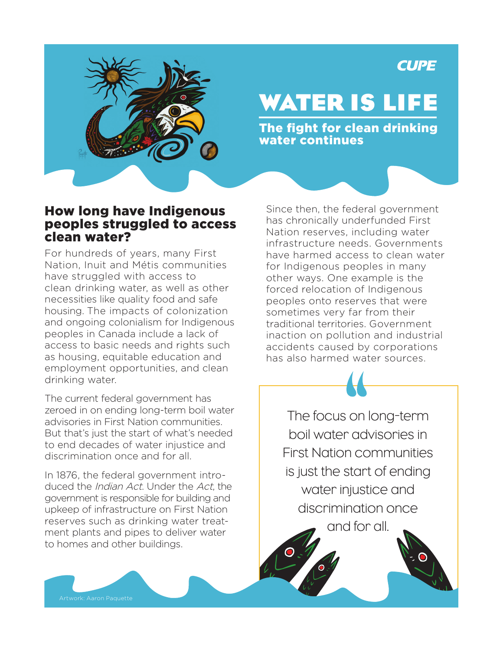## **CUPE**



# **WATER IS LIFE**

The fight for clean drinking water continues

#### How long have Indigenous peoples struggled to access clean water?

For hundreds of years, many First Nation, Inuit and Métis communities have struggled with access to clean drinking water, as well as other necessities like quality food and safe housing. The impacts of colonization and ongoing colonialism for Indigenous peoples in Canada include a lack of access to basic needs and rights such as housing, equitable education and employment opportunities, and clean drinking water.

The current federal government has zeroed in on ending long-term boil water advisories in First Nation communities. But that's just the start of what's needed to end decades of water injustice and discrimination once and for all.

In 1876, the federal government introduced the Indian Act. Under the Act, the government is responsible for building and upkeep of infrastructure on First Nation reserves such as drinking water treatment plants and pipes to deliver water to homes and other buildings.

Artwork: Aaron Paquette

Since then, the federal government has chronically underfunded First Nation reserves, including water infrastructure needs. Governments have harmed access to clean water for Indigenous peoples in many other ways. One example is the forced relocation of Indigenous peoples onto reserves that were sometimes very far from their traditional territories. Government inaction on pollution and industrial accidents caused by corporations has also harmed water sources.

The focus on long-term boil water advisories in First Nation communities is just the start of ending water injustice and discrimination once

and for all.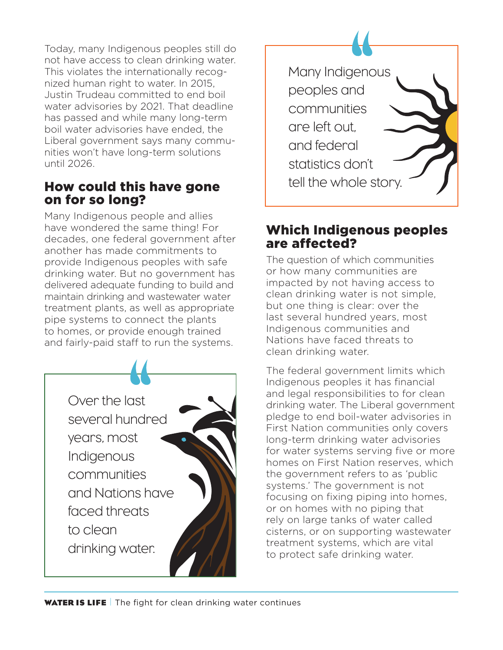Today, many Indigenous peoples still do not have access to clean drinking water. This violates the internationally recognized human right to water. In 2015, Justin Trudeau committed to end boil water advisories by 2021. That deadline has passed and while many long-term boil water advisories have ended, the Liberal government says many communities won't have long-term solutions until 2026.

#### How could this have gone on for so long?

Many Indigenous people and allies have wondered the same thing! For decades, one federal government after another has made commitments to provide Indigenous peoples with safe drinking water. But no government has delivered adequate funding to build and maintain drinking and wastewater water treatment plants, as well as appropriate pipe systems to connect the plants to homes, or provide enough trained and fairly-paid staff to run the systems.

> Over the last several hundred years, most Indigenous communities and Nations have faced threats to clean drinking water.



#### Which Indigenous peoples are affected?

The question of which communities or how many communities are impacted by not having access to clean drinking water is not simple, but one thing is clear: over the last several hundred years, most Indigenous communities and Nations have faced threats to clean drinking water.

The federal government limits which Indigenous peoples it has financial and legal responsibilities to for clean drinking water. The Liberal government pledge to end boil-water advisories in First Nation communities only covers long-term drinking water advisories for water systems serving five or more homes on First Nation reserves, which the government refers to as 'public systems.' The government is not focusing on fixing piping into homes, or on homes with no piping that rely on large tanks of water called cisterns, or on supporting wastewater treatment systems, which are vital to protect safe drinking water.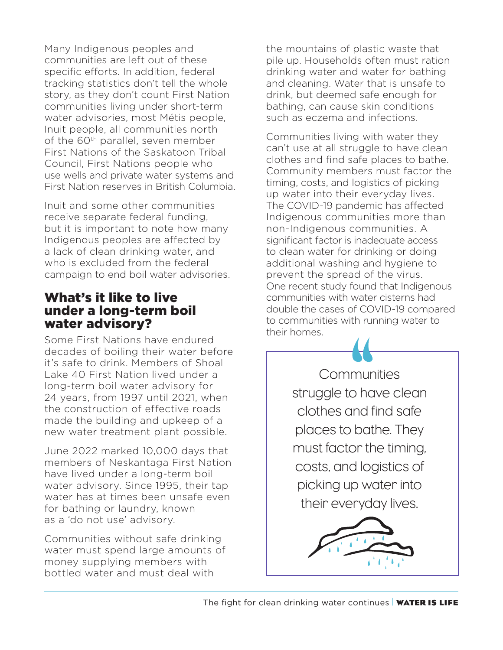Many Indigenous peoples and communities are left out of these specific efforts. In addition, federal tracking statistics don't tell the whole story, as they don't count First Nation communities living under short-term water advisories, most Métis people, Inuit people, all communities north of the 60<sup>th</sup> parallel, seven member First Nations of the Saskatoon Tribal Council, First Nations people who use wells and private water systems and First Nation reserves in British Columbia.

Inuit and some other communities receive separate federal funding, but it is important to note how many Indigenous peoples are affected by a lack of clean drinking water, and who is excluded from the federal campaign to end boil water advisories.

#### What's it like to live under a long-term boil water advisory?

Some First Nations have endured decades of boiling their water before it's safe to drink. Members of Shoal Lake 40 First Nation lived under a long-term boil water advisory for 24 years, from 1997 until 2021, when the construction of effective roads made the building and upkeep of a new water treatment plant possible.

June 2022 marked 10,000 days that members of Neskantaga First Nation have lived under a long-term boil water advisory. Since 1995, their tap water has at times been unsafe even for bathing or laundry, known as a 'do not use' advisory.

Communities without safe drinking water must spend large amounts of money supplying members with bottled water and must deal with

the mountains of plastic waste that pile up. Households often must ration drinking water and water for bathing and cleaning. Water that is unsafe to drink, but deemed safe enough for bathing, can cause skin conditions such as eczema and infections.

Communities living with water they can't use at all struggle to have clean clothes and find safe places to bathe. Community members must factor the timing, costs, and logistics of picking up water into their everyday lives. The COVID-19 pandemic has affected Indigenous communities more than non-Indigenous communities. A significant factor is inadequate access to clean water for drinking or doing additional washing and hygiene to prevent the spread of the virus. One recent study found that Indigenous communities with water cisterns had double the cases of COVID-19 compared to communities with running water to their homes.

> Communities struggle to have clean clothes and find safe places to bathe. They must factor the timing, costs, and logistics of picking up water into their everyday lives.